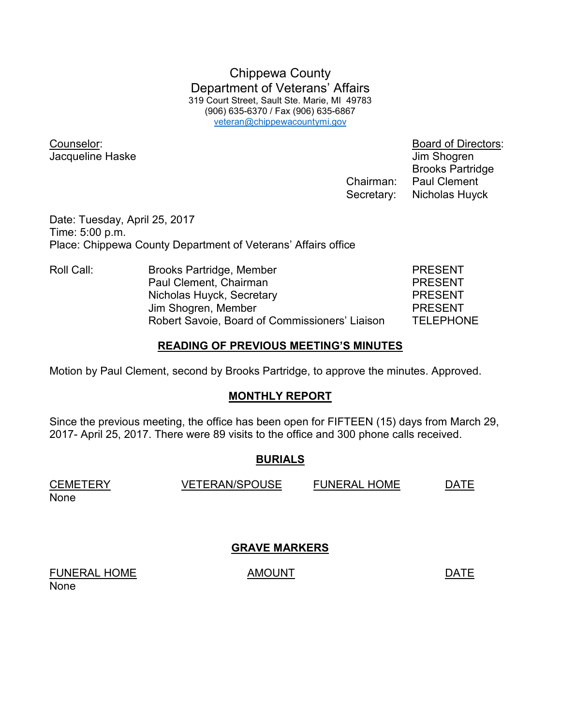Chippewa County Department of Veterans' Affairs 319 Court Street, Sault Ste. Marie, MI 49783 (906) 635-6370 / Fax (906) 635-6867 veteran@chippewacountymi.gov

Counselor: Board of Directors: Jacqueline Haske Jacqueline Haske June 1999

 Brooks Partridge Chairman: Paul Clement Secretary: Nicholas Huyck

Date: Tuesday, April 25, 2017 Time: 5:00 p.m. Place: Chippewa County Department of Veterans' Affairs office

| Roll Call: | <b>Brooks Partridge, Member</b>                | <b>PRESENT</b>   |
|------------|------------------------------------------------|------------------|
|            | Paul Clement, Chairman                         | <b>PRESENT</b>   |
|            | Nicholas Huyck, Secretary                      | <b>PRESENT</b>   |
|            | Jim Shogren, Member                            | <b>PRESENT</b>   |
|            | Robert Savoie, Board of Commissioners' Liaison | <b>TELEPHONE</b> |

### **READING OF PREVIOUS MEETING'S MINUTES**

Motion by Paul Clement, second by Brooks Partridge, to approve the minutes. Approved.

### **MONTHLY REPORT**

Since the previous meeting, the office has been open for FIFTEEN (15) days from March 29, 2017- April 25, 2017. There were 89 visits to the office and 300 phone calls received.

### **BURIALS**

| <b>CEMETERY</b> | <b>VETERAN/SPOUSE</b> | <b>FUNERAL HOME</b> | DATF |
|-----------------|-----------------------|---------------------|------|
| None            |                       |                     |      |

**GRAVE MARKERS** 

FUNERAL HOME AMOUNT AMOUNT None